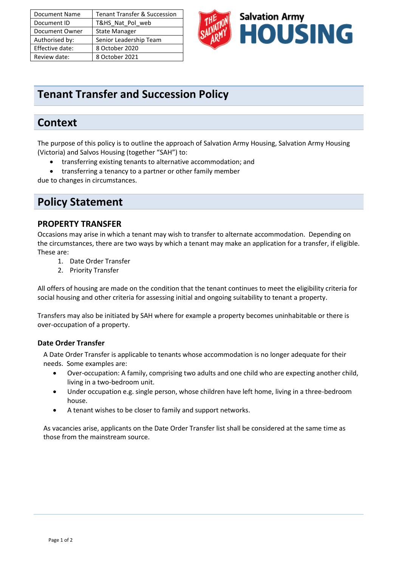| Document Name   | <b>Tenant Transfer &amp; Succession</b> |
|-----------------|-----------------------------------------|
| Document ID     | T&HS Nat Pol web                        |
| Document Owner  | <b>State Manager</b>                    |
| Authorised by:  | Senior Leadership Team                  |
| Effective date: | 8 October 2020                          |
| Review date:    | 8 October 2021                          |



# **Tenant Transfer and Succession Policy**

## **Context**

The purpose of this policy is to outline the approach of Salvation Army Housing, Salvation Army Housing (Victoria) and Salvos Housing (together "SAH") to:

- transferring existing tenants to alternative accommodation; and
- transferring a tenancy to a partner or other family member

due to changes in circumstances.

## **Policy Statement**

### **PROPERTY TRANSFER**

Occasions may arise in which a tenant may wish to transfer to alternate accommodation. Depending on the circumstances, there are two ways by which a tenant may make an application for a transfer, if eligible. These are:

- 1. Date Order Transfer
- 2. Priority Transfer

All offers of housing are made on the condition that the tenant continues to meet the eligibility criteria for social housing and other criteria for assessing initial and ongoing suitability to tenant a property.

Transfers may also be initiated by SAH where for example a property becomes uninhabitable or there is over-occupation of a property.

#### **Date Order Transfer**

A Date Order Transfer is applicable to tenants whose accommodation is no longer adequate for their needs. Some examples are:

- Over-occupation: A family, comprising two adults and one child who are expecting another child, living in a two-bedroom unit.
- Under occupation e.g. single person, whose children have left home, living in a three-bedroom house.
- A tenant wishes to be closer to family and support networks.

As vacancies arise, applicants on the Date Order Transfer list shall be considered at the same time as those from the mainstream source.